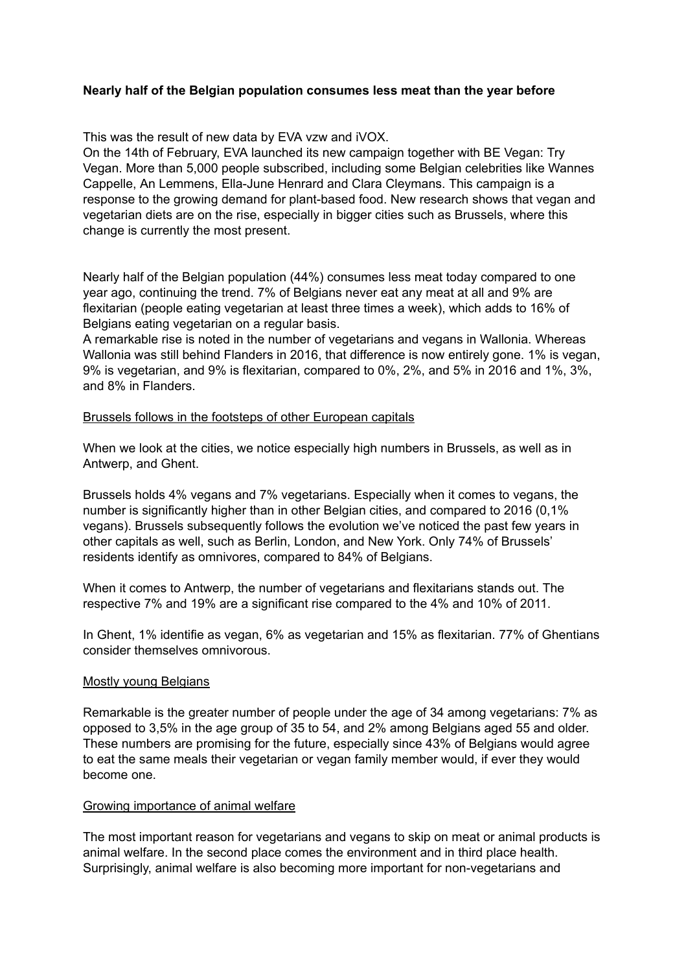# **Nearly half of the Belgian population consumes less meat than the year before**

This was the result of new data by EVA vzw and iVOX.

On the 14th of February, EVA launched its new campaign together with BE Vegan: Try Vegan. More than 5,000 people subscribed, including some Belgian celebrities like Wannes Cappelle, An Lemmens, Ella-June Henrard and Clara Cleymans. This campaign is a response to the growing demand for plant-based food. New research shows that vegan and vegetarian diets are on the rise, especially in bigger cities such as Brussels, where this change is currently the most present.

Nearly half of the Belgian population (44%) consumes less meat today compared to one year ago, continuing the trend. 7% of Belgians never eat any meat at all and 9% are flexitarian (people eating vegetarian at least three times a week), which adds to 16% of Belgians eating vegetarian on a regular basis.

A remarkable rise is noted in the number of vegetarians and vegans in Wallonia. Whereas Wallonia was still behind Flanders in 2016, that difference is now entirely gone. 1% is vegan, 9% is vegetarian, and 9% is flexitarian, compared to 0%, 2%, and 5% in 2016 and 1%, 3%, and 8% in Flanders.

### Brussels follows in the footsteps of other European capitals

When we look at the cities, we notice especially high numbers in Brussels, as well as in Antwerp, and Ghent.

Brussels holds 4% vegans and 7% vegetarians. Especially when it comes to vegans, the number is significantly higher than in other Belgian cities, and compared to 2016 (0,1% vegans). Brussels subsequently follows the evolution we've noticed the past few years in other capitals as well, such as Berlin, London, and New York. Only 74% of Brussels' residents identify as omnivores, compared to 84% of Belgians.

When it comes to Antwerp, the number of vegetarians and flexitarians stands out. The respective 7% and 19% are a significant rise compared to the 4% and 10% of 2011.

In Ghent, 1% identifie as vegan, 6% as vegetarian and 15% as flexitarian. 77% of Ghentians consider themselves omnivorous.

### Mostly young Belgians

Remarkable is the greater number of people under the age of 34 among vegetarians: 7% as opposed to 3,5% in the age group of 35 to 54, and 2% among Belgians aged 55 and older. These numbers are promising for the future, especially since 43% of Belgians would agree to eat the same meals their vegetarian or vegan family member would, if ever they would become one.

### Growing importance of animal welfare

The most important reason for vegetarians and vegans to skip on meat or animal products is animal welfare. In the second place comes the environment and in third place health. Surprisingly, animal welfare is also becoming more important for non-vegetarians and